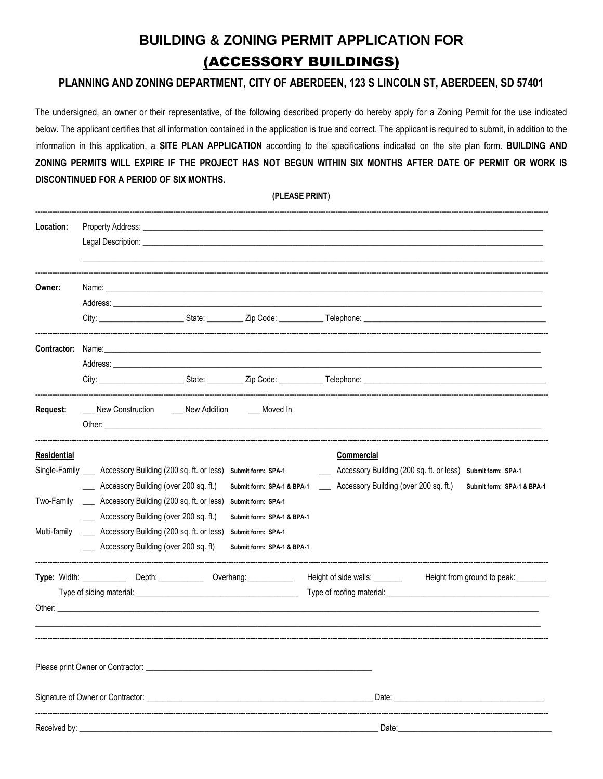## **BUILDING & ZONING PERMIT APPLICATION FOR** (ACCESSORY BUILDINGS)

### PLANNING AND ZONING DEPARTMENT, CITY OF ABERDEEN, 123 S LINCOLN ST, ABERDEEN, SD 57401

The undersigned, an owner or their representative, of the following described property do hereby apply for a Zoning Permit for the use indicated below. The applicant certifies that all information contained in the application is true and correct. The applicant is required to submit, in addition to the information in this application, a SITE PLAN APPLICATION according to the specifications indicated on the site plan form. BUILDING AND ZONING PERMITS WILL EXPIRE IF THE PROJECT HAS NOT BEGUN WITHIN SIX MONTHS AFTER DATE OF PERMIT OR WORK IS DISCONTINUED FOR A PERIOD OF SIX MONTHS.

(PLEASE PRINT)

| Location:          | Legal Description: <b>Example 20</b> Second 20 Second 20 Second 20 Second 20 Second 20 Second 20 Second 20 Second 20 Second 20 Second 20 Second 20 Second 20 Second 20 Second 20 Second 20 Second 20 Second 20 Second 20 Second 20 |  |                            |                                                                                                     |  |                            |  |  |  |
|--------------------|------------------------------------------------------------------------------------------------------------------------------------------------------------------------------------------------------------------------------------|--|----------------------------|-----------------------------------------------------------------------------------------------------|--|----------------------------|--|--|--|
|                    |                                                                                                                                                                                                                                    |  |                            |                                                                                                     |  |                            |  |  |  |
| Owner:             | Address: the contract of the contract of the contract of the contract of the contract of the contract of the contract of the contract of the contract of the contract of the contract of the contract of the contract of the c     |  |                            |                                                                                                     |  |                            |  |  |  |
|                    |                                                                                                                                                                                                                                    |  |                            |                                                                                                     |  |                            |  |  |  |
|                    | <b>Contractor:</b> Name: <b>Example 2018</b>                                                                                                                                                                                       |  |                            |                                                                                                     |  |                            |  |  |  |
|                    |                                                                                                                                                                                                                                    |  |                            |                                                                                                     |  |                            |  |  |  |
|                    |                                                                                                                                                                                                                                    |  |                            |                                                                                                     |  |                            |  |  |  |
| Request:           | New Construction _____ New Addition _____ Moved In                                                                                                                                                                                 |  |                            |                                                                                                     |  |                            |  |  |  |
| <b>Residential</b> |                                                                                                                                                                                                                                    |  |                            | Commercial                                                                                          |  |                            |  |  |  |
|                    | Single-Family _____ Accessory Building (200 sq. ft. or less) submit form: SPA-1                                                                                                                                                    |  |                            | _____ Accessory Building (200 sq. ft. or less)                                                      |  | Submit form: SPA-1         |  |  |  |
|                    | ____ Accessory Building (over 200 sq. ft.)                                                                                                                                                                                         |  |                            | Submit form: SPA-1 & BPA-1 _____ Accessory Building (over 200 sq. ft.)                              |  | Submit form: SPA-1 & BPA-1 |  |  |  |
| Two-Family         | ____ Accessory Building (200 sq. ft. or less)                                                                                                                                                                                      |  | Submit form: SPA-1         |                                                                                                     |  |                            |  |  |  |
|                    | ____ Accessory Building (over 200 sq. ft.)                                                                                                                                                                                         |  | Submit form: SPA-1 & BPA-1 |                                                                                                     |  |                            |  |  |  |
| Multi-family       | ____ Accessory Building (200 sq. ft. or less)                                                                                                                                                                                      |  | Submit form: SPA-1         |                                                                                                     |  |                            |  |  |  |
|                    | ____ Accessory Building (over 200 sq. ft)                                                                                                                                                                                          |  | Submit form: SPA-1 & BPA-1 |                                                                                                     |  |                            |  |  |  |
|                    | Type: Width: _______________ Depth: _______________ Overhang: _____________                                                                                                                                                        |  |                            | --------------------------<br>Height of side walls: ___________ Height from ground to peak: _______ |  |                            |  |  |  |
|                    |                                                                                                                                                                                                                                    |  |                            |                                                                                                     |  |                            |  |  |  |
|                    | Other: the contract of the contract of the contract of the contract of the contract of the contract of the contract of the contract of the contract of the contract of the contract of the contract of the contract of the con     |  |                            |                                                                                                     |  |                            |  |  |  |
|                    |                                                                                                                                                                                                                                    |  |                            |                                                                                                     |  |                            |  |  |  |
|                    |                                                                                                                                                                                                                                    |  |                            |                                                                                                     |  |                            |  |  |  |
|                    |                                                                                                                                                                                                                                    |  |                            |                                                                                                     |  |                            |  |  |  |
|                    |                                                                                                                                                                                                                                    |  |                            |                                                                                                     |  |                            |  |  |  |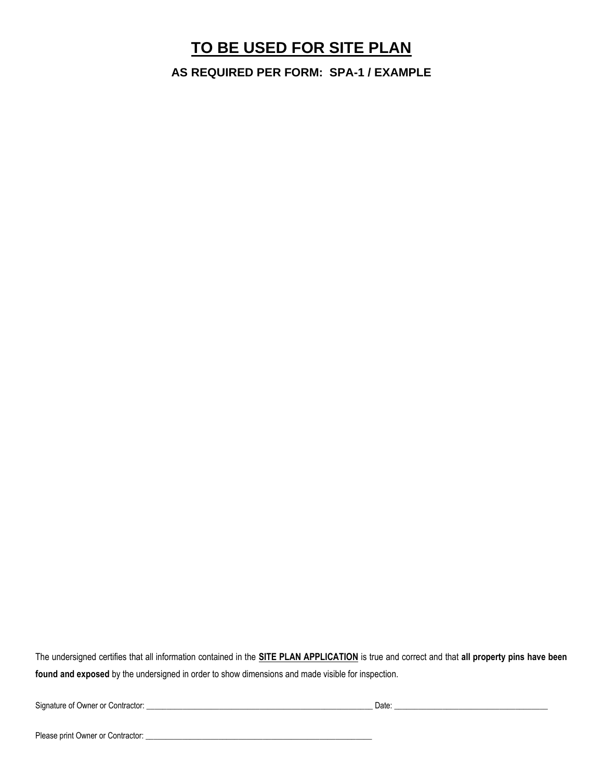### **TO BE USED FOR SITE PLAN**

**AS REQUIRED PER FORM: SPA-1 / EXAMPLE**

The undersigned certifies that all information contained in the **SITE PLAN APPLICATION** is true and correct and that **all property pins have been found and exposed** by the undersigned in order to show dimensions and made visible for inspection.

Signature of Owner or Contractor: \_\_\_\_\_\_\_\_\_\_\_\_\_\_\_\_\_\_\_\_\_\_\_\_\_\_\_\_\_\_\_\_\_\_\_\_\_\_\_\_\_\_\_\_\_\_\_\_\_\_\_\_\_\_\_\_ Date: \_\_\_\_\_\_\_\_\_\_\_\_\_\_\_\_\_\_\_\_\_\_\_\_\_\_\_\_\_\_\_\_\_\_\_\_\_\_

Please print Owner or Contractor: \_\_\_\_\_\_\_\_\_\_\_\_\_\_\_\_\_\_\_\_\_\_\_\_\_\_\_\_\_\_\_\_\_\_\_\_\_\_\_\_\_\_\_\_\_\_\_\_\_\_\_\_\_\_\_\_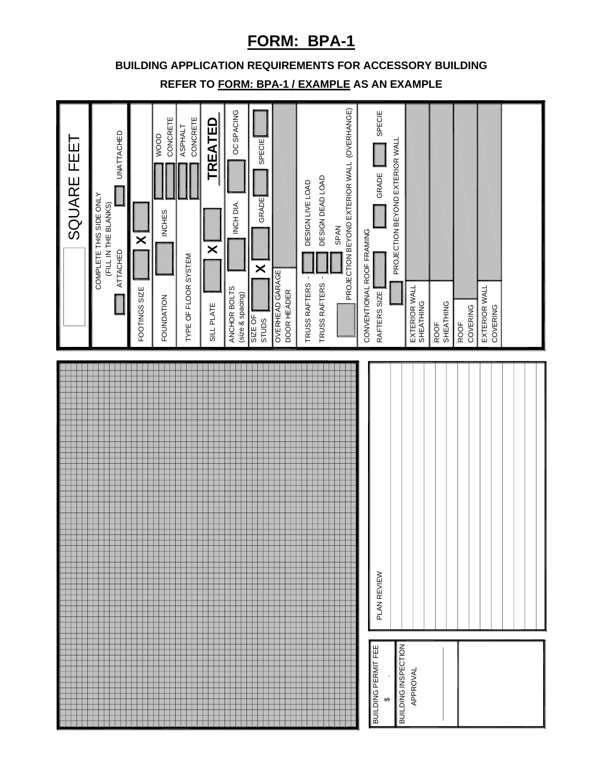### **FORM: BPA-1**

### **BUILDING APPLICATION REQUIREMENTS FOR ACCESSORY BUILDING**

**REFER TO FORM: BPA-1 / EXAMPLE AS AN EXAMPLE**

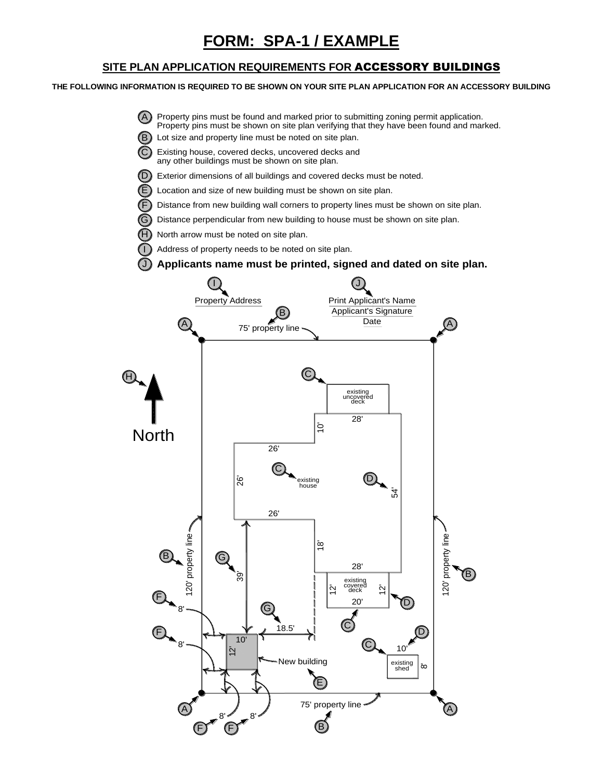#### **SITE PLAN APPLICATION REQUIREMENTS FOR** ACCESSORY BUILDINGS

#### **THE FOLLOWING INFORMATION IS REQUIRED TO BE SHOWN ON YOUR SITE PLAN APPLICATION FOR AN ACCESSORY BUILDING**

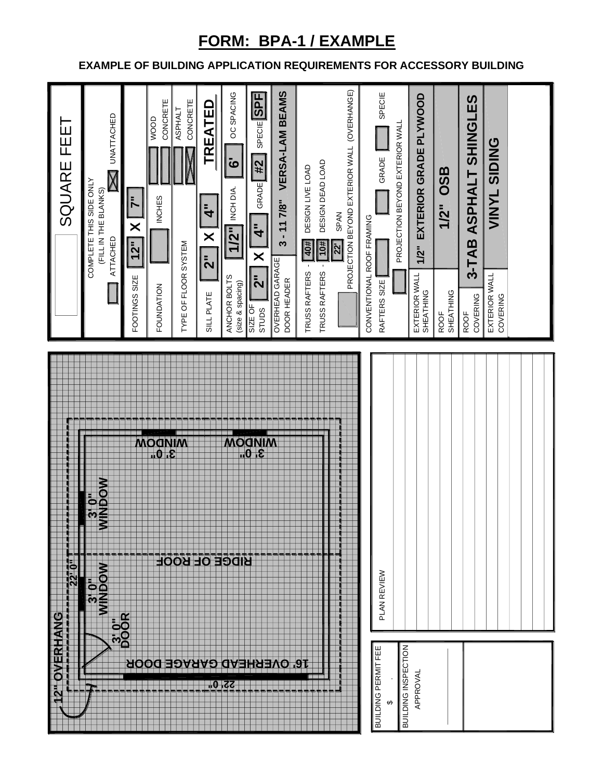# **FORM: BPA-1 / EXAMPLE**

### **EXAMPLE OF BUILDING APPLICATION REQUIREMENTS FOR ACCESSORY BUILDING**